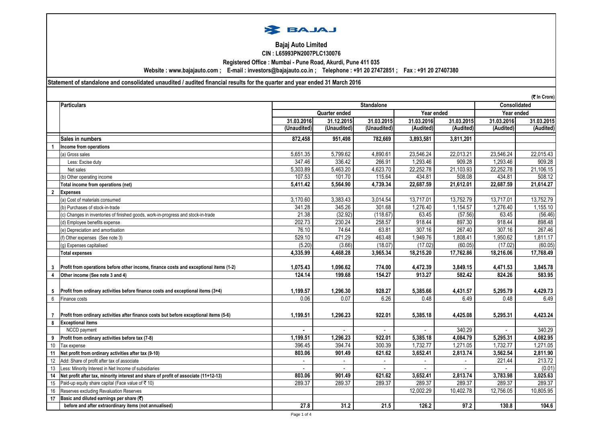

## **Bajaj Auto Limited CIN : L65993PN2007PLC130076**

**Registered Office : Mumbai - Pune Road, Akurdi, Pune 411 035**

**Website : www.bajajauto.com ; E-mail : investors@bajajauto.co.in ; Telephone : +91 20 27472851 ; Fax : +91 20 27407380**

**Statement of standalone and consolidated unaudited / audited financial results for the quarter and year ended 31 March 2016**

**(**` **In Crore)**

|                         | <b>Particulars</b>                                                                     | $(v \sin v \cos v)$<br><b>Standalone</b><br><b>Consolidated</b> |              |             |              |            |            |            |
|-------------------------|----------------------------------------------------------------------------------------|-----------------------------------------------------------------|--------------|-------------|--------------|------------|------------|------------|
|                         |                                                                                        | Year ended<br><b>Quarter ended</b>                              |              |             | Year ended   |            |            |            |
|                         |                                                                                        | 31.03.2016                                                      | 31.12.2015   | 31.03.2015  | 31.03.2016   | 31.03.2015 | 31.03.2016 | 31.03.2015 |
|                         |                                                                                        | (Unaudited)                                                     | (Unaudited)  | (Unaudited) | (Audited)    | (Audited)  | (Audited)  | (Audited)  |
|                         | Sales in numbers                                                                       | 872,458                                                         | 951,498      | 782,669     | 3,893,581    | 3,811,201  |            |            |
|                         | Income from operations                                                                 |                                                                 |              |             |              |            |            |            |
|                         | (a) Gross sales                                                                        | 5,651.35                                                        | 5,799.62     | 4,890.61    | 23,546.24    | 22,013.21  | 23,546.24  | 22,015.43  |
|                         | Less: Excise duty                                                                      | 347.46                                                          | 336.42       | 266.91      | 1.293.46     | 909.28     | 1,293.46   | 909.28     |
|                         | Net sales                                                                              | 5,303.89                                                        | 5,463.20     | 4,623.70    | 22,252.78    | 21,103.93  | 22,252.78  | 21,106.15  |
|                         | (b) Other operating income                                                             | 107.53                                                          | 101.70       | 115.64      | 434.81       | 508.08     | 434.81     | 508.12     |
|                         | Total income from operations (net)                                                     | 5,411.42                                                        | 5,564.90     | 4,739.34    | 22,687.59    | 21,612.01  | 22,687.59  | 21,614.27  |
| $\mathbf{2}$            | <b>Expenses</b>                                                                        |                                                                 |              |             |              |            |            |            |
|                         | (a) Cost of materials consumed                                                         | 3,170.60                                                        | 3,383.43     | 3,014.54    | 13,717.01    | 13,752.79  | 13,717.01  | 13,752.79  |
|                         | (b) Purchases of stock-in-trade                                                        | 341.28                                                          | 345.26       | 301.68      | 1,276.40     | 1,154.57   | 1,276.40   | 1,155.10   |
|                         | (c) Changes in inventories of finished goods, work-in-progress and stock-in-trade      | 21.38                                                           | (32.92)      | (118.67)    | 63.45        | (57.56)    | 63.45      | (56.46)    |
|                         | (d) Employee benefits expense                                                          | 202.73                                                          | 230.24       | 258.57      | 918.44       | 897.30     | 918.44     | 898.48     |
|                         | (e) Depreciation and amortisation                                                      | 76.10                                                           | 74.64        | 63.81       | 307.16       | 267.40     | 307.16     | 267.46     |
|                         | (f) Other expenses (See note 3)                                                        | 529.10                                                          | 471.29       | 463.48      | 1,949.76     | 1,808.41   | 1,950.62   | 1,811.17   |
|                         | (g) Expenses capitalised                                                               | (5.20)                                                          | (3.66)       | (18.07)     | (17.02)      | (60.05)    | (17.02)    | (60.05)    |
|                         | <b>Total expenses</b>                                                                  | 4,335.99                                                        | 4,468.28     | 3,965.34    | 18,215.20    | 17,762.86  | 18,216.06  | 17,768.49  |
|                         |                                                                                        |                                                                 |              |             |              |            |            |            |
| 3                       | Profit from operations before other income, finance costs and exceptional items (1-2)  | 1,075.43                                                        | 1,096.62     | 774.00      | 4,472.39     | 3,849.15   | 4,471.53   | 3,845.78   |
| $\overline{\mathbf{A}}$ | Other income (See note 3 and 4)                                                        | 124.14                                                          | 199.68       | 154.27      | 913.27       | 582.42     | 824.26     | 583.95     |
|                         |                                                                                        |                                                                 |              |             |              |            |            |            |
| 5                       | Profit from ordinary activities before finance costs and exceptional items (3+4)       | 1,199.57                                                        | 1,296.30     | 928.27      | 5,385.66     | 4,431.57   | 5,295.79   | 4,429.73   |
| 6                       | Finance costs                                                                          | 0.06                                                            | 0.07         | 6.26        | 0.48         | 6.49       | 0.48       | 6.49       |
|                         |                                                                                        |                                                                 |              |             |              |            |            |            |
|                         | Profit from ordinary activities after finance costs but before exceptional items (5-6) | 1,199.51                                                        | 1,296.23     | 922.01      | 5,385.18     | 4,425.08   | 5,295.31   | 4,423.24   |
| 8                       | <b>Exceptional items</b>                                                               |                                                                 |              |             |              |            |            |            |
|                         | NCCD payment                                                                           | $\blacksquare$                                                  | $\mathbf{r}$ | $\sim$      | $\sim$       | 340.29     | $\sim$     | 340.29     |
| 9                       | Profit from ordinary activities before tax (7-8)                                       | 1,199.51                                                        | 1,296.23     | 922.01      | 5,385.18     | 4,084.79   | 5,295.31   | 4,082.95   |
| 10                      | Tax expense                                                                            | 396.45                                                          | 394.74       | 300.39      | 1,732.77     | 1,271.05   | 1,732.77   | 1,271.05   |
| 11                      | Net profit from ordinary activities after tax (9-10)                                   | 803.06                                                          | 901.49       | 621.62      | 3,652.41     | 2,813.74   | 3,562.54   | 2,811.90   |
| 12                      | Add: Share of profit after tax of associate                                            | $\mathbf{r}$                                                    | $\mathbf{r}$ | $\sim$      | $\mathbf{r}$ | $\sim$     | 221.44     | 213.72     |
| 13                      | Less: Minority Interest in Net Income of subsidiaries                                  |                                                                 |              |             |              |            |            | (0.01)     |
| 14                      | Net profit after tax, minority interest and share of profit of associate (11+12-13)    | 803.06                                                          | 901.49       | 621.62      | 3,652.41     | 2,813.74   | 3,783.98   | 3,025.63   |
| 15                      | Paid-up equity share capital (Face value of ₹10)                                       | 289.37                                                          | 289.37       | 289.37      | 289.37       | 289.37     | 289.37     | 289.37     |
| 16                      | Reserves excluding Revaluation Reserves                                                |                                                                 |              |             | 12,002.29    | 10,402.78  | 12,756.05  | 10,805.95  |
| 17                      | Basic and diluted earnings per share $(\overline{\mathbf{z}})$                         |                                                                 |              |             |              |            |            |            |
|                         | before and after extraordinary items (not annualised)                                  | 27.8                                                            | 31.2         | 21.5        | 126.2        | 97.2       | 130.8      | 104.6      |
|                         |                                                                                        | Page 1 of 4                                                     |              |             |              |            |            |            |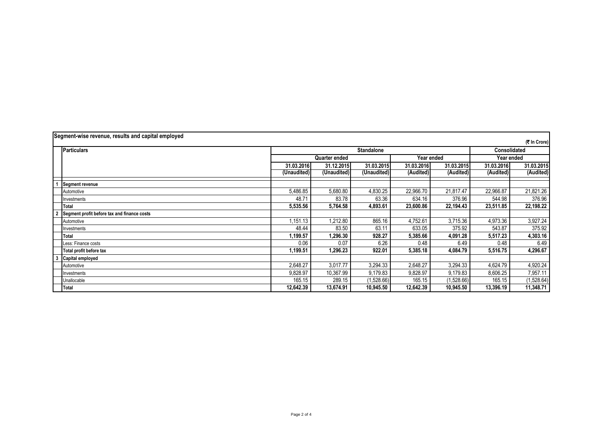| Segment-wise revenue, results and capital employed |                                             |             |                             |             |            |            |            |              |  |
|----------------------------------------------------|---------------------------------------------|-------------|-----------------------------|-------------|------------|------------|------------|--------------|--|
|                                                    | (₹ In Crore)                                |             |                             |             |            |            |            |              |  |
|                                                    | <b>Particulars</b>                          |             | <b>Standalone</b>           |             |            |            |            | Consolidated |  |
|                                                    |                                             |             | Quarter ended<br>Year ended |             |            | Year ended |            |              |  |
|                                                    |                                             | 31.03.2016  | 31.12.2015                  | 31.03.2015  | 31.03.2016 | 31.03.2015 | 31.03.2016 | 31.03.2015   |  |
|                                                    |                                             | (Unaudited) | (Unaudited)                 | (Unaudited) | (Audited)  | (Audited)  | (Audited)  | (Audited)    |  |
|                                                    | Segment revenue                             |             |                             |             |            |            |            |              |  |
|                                                    | Automotive                                  | 5,486.85    | 5,680.80                    | 4,830.25    | 22,966.70  | 21,817.47  | 22,966.87  | 21,821.26    |  |
|                                                    | nvestments                                  | 48.7'       | 83.78                       | 63.36       | 634.16     | 376.96     | 544.98     | 376.96       |  |
|                                                    | Total                                       | 5,535.56    | 5,764.58                    | 4,893.61    | 23,600.86  | 22,194.43  | 23,511.85  | 22,198.22    |  |
|                                                    | Segment profit before tax and finance costs |             |                             |             |            |            |            |              |  |
|                                                    | Automotive                                  | ,151.13     | 1,212.80                    | 865.16      | 4,752.61   | 3,715.36   | 4,973.36   | 3,927.24     |  |
|                                                    | Investments                                 | 48.44       | 83.50                       | 63.11       | 633.05     | 375.92     | 543.87     | 375.92       |  |
|                                                    | Total                                       | 1,199.57    | 1,296.30                    | 928.27      | 5,385.66   | 4,091.28   | 5,517.23   | 4,303.16     |  |
|                                                    | Less: Finance costs                         | 0.06        | 0.07                        | 6.26        | 0.48       | 6.49       | 0.48       | 6.49         |  |
|                                                    | Total profit before tax                     | 1,199.51    | 1,296.23                    | 922.01      | 5,385.18   | 4,084.79   | 5,516.75   | 4,296.67     |  |
|                                                    | Capital employed                            |             |                             |             |            |            |            |              |  |
|                                                    | Automotive                                  | 2,648.27    | 3,017.77                    | 3,294.33    | 2,648.27   | 3,294.33   | 4,624.79   | 4,920.24     |  |
|                                                    | nvestments                                  | 9,828.97    | 10,367.99                   | 9,179.83    | 9,828.97   | 9,179.83   | 8,606.25   | 7,957.11     |  |
|                                                    | Unallocable                                 | 165.15      | 289.15                      | (1,528.66)  | 165.15     | (1,528.66) | 165.15     | (1,528.64)   |  |
|                                                    | Total                                       | 12,642.39   | 13,674.91                   | 10,945.50   | 12,642.39  | 10,945.50  | 13,396.19  | 11,348.71    |  |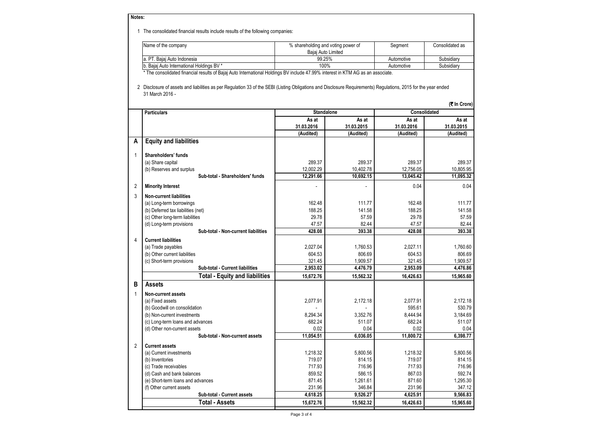**Notes:**

1 The consolidated financial results include results of the following companies:

| Name of the company                       | % shareholding and voting power of | Segment    | Consolidated as |  |
|-------------------------------------------|------------------------------------|------------|-----------------|--|
|                                           | Baiai Auto Limited                 |            |                 |  |
| la. PT. Baiai Auto Indonesia              | 99.25%                             | Automotive | Subsidiarv      |  |
| b. Baiai Auto International Holdings BV * | 100%                               | Automotive | Subsidiarv      |  |

\* The consolidated financial results of Bajaj Auto International Holdings BV include 47.99% interest in KTM AG as an associate.

 2 Disclosure of assets and liabilities as per Regulation 33 of the SEBI (Listing Obligations and Disclosure Requirements) Regulations, 2015 for the year ended 31 March 2016 -

|                |                                                             |                     |                     |                        | (そ In Crore)        |
|----------------|-------------------------------------------------------------|---------------------|---------------------|------------------------|---------------------|
|                | <b>Particulars</b>                                          |                     | <b>Standalone</b>   |                        | <b>Consolidated</b> |
|                |                                                             | As at<br>31.03.2016 | As at<br>31.03.2015 | As at<br>31.03.2016    | As at<br>31.03.2015 |
|                |                                                             | (Audited)           | (Audited)           | (Audited)              | (Audited)           |
| A              | <b>Equity and liabilities</b>                               |                     |                     |                        |                     |
|                |                                                             |                     |                     |                        |                     |
| 1              | Shareholders' funds                                         |                     |                     |                        |                     |
|                | (a) Share capital                                           | 289.37              | 289.37              | 289.37                 | 289.37              |
|                | (b) Reserves and surplus<br>Sub-total - Shareholders' funds | 12,002.29           | 10,402.78           | 12.756.05<br>13.045.42 | 10.805.95           |
|                |                                                             | 12,291.66           | 10,692.15           |                        | 11,095.32           |
| $\overline{2}$ | <b>Minority Interest</b>                                    |                     |                     | 0.04                   | 0.04                |
| 3              | <b>Non-current liabilities</b>                              |                     |                     |                        |                     |
|                | (a) Long-term borrowings                                    | 162.48              | 111.77              | 162.48                 | 111.77              |
|                | (b) Deferred tax liabilities (net)                          | 188.25              | 141.58              | 188.25                 | 141.58              |
|                | (c) Other long-term liabilities                             | 29.78               | 57.59               | 29.78                  | 57.59               |
|                | (d) Long-term provisions                                    | 47.57               | 82.44               | 47.57                  | 82.44               |
|                | Sub-total - Non-current liabilities                         | 428.08              | 393.38              | 428.08                 | 393.38              |
| 4              | <b>Current liabilities</b>                                  |                     |                     |                        |                     |
|                | (a) Trade payables                                          | 2.027.04            | 1.760.53            | 2.027.11               | 1.760.60            |
|                | (b) Other current liabilities                               | 604.53              | 806.69              | 604.53                 | 806.69              |
|                | (c) Short-term provisions                                   | 321.45              | 1,909.57            | 321.45                 | 1,909.57            |
|                | Sub-total - Current liabilities                             | 2,953.02            | 4,476.79            | 2,953.09               | 4,476.86            |
|                | <b>Total - Equity and liabilities</b>                       | 15,672.76           | 15,562.32           | 16,426.63              | 15,965.60           |
| в              | <b>Assets</b>                                               |                     |                     |                        |                     |
| 1              | <b>Non-current assets</b>                                   |                     |                     |                        |                     |
|                | (a) Fixed assets                                            | 2,077.91            | 2.172.18            | 2.077.91               | 2.172.18            |
|                | (b) Goodwill on consolidation                               |                     |                     | 595.61                 | 530.79              |
|                | (b) Non-current investments                                 | 8.294.34            | 3,352.76            | 8,444.94               | 3.184.69            |
|                | (c) Long-term loans and advances                            | 682.24              | 511.07              | 682.24                 | 511.07              |
|                | (d) Other non-current assets                                | 0.02                | 0.04                | 0.02                   | 0.04                |
|                | Sub-total - Non-current assets                              | 11.054.51           | 6.036.05            | 11.800.72              | 6.398.77            |
| $\overline{2}$ | <b>Current assets</b>                                       |                     |                     |                        |                     |
|                | (a) Current investments                                     | 1,218.32            | 5,800.56            | 1.218.32               | 5.800.56            |
|                | (b) Inventories                                             | 719.07              | 814.15              | 719.07                 | 814.15              |
|                | (c) Trade receivables                                       | 717.93              | 716.96              | 717.93                 | 716.96              |
|                | (d) Cash and bank balances                                  | 859.52              | 586.15              | 867.03                 | 592.74              |
|                | (e) Short-term loans and advances                           | 871.45              | 1,261.61            | 871.60                 | 1,295.30            |
|                | (f) Other current assets                                    | 231.96              | 346.84              | 231.96                 | 347.12              |
|                | Sub-total - Current assets                                  | 4.618.25            | 9.526.27            | 4.625.91               | 9.566.83            |
|                | <b>Total - Assets</b>                                       | 15,672.76           | 15,562.32           | 16,426.63              | 15.965.60           |